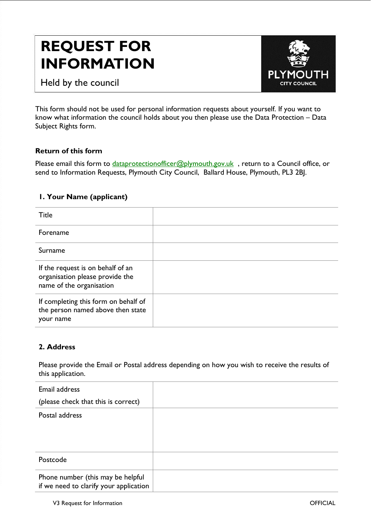# **REQUEST FOR INFORMATION**



PL CITY COLINCIL

This form should not be used for personal information requests about yourself. If you want to know what information the council holds about you then please use the Data Protection – Data Subject Rights form.

## **Return of this form**

Please email this form to *dataprotectionofficer@plymouth.gov.uk*, return to a Council office, or send to Information Requests, Plymouth City Council, Ballard House, Plymouth, PL3 2BJ.

## **1. Your Name (applicant)**

| Title                                                                                            |  |
|--------------------------------------------------------------------------------------------------|--|
| Forename                                                                                         |  |
| Surname                                                                                          |  |
| If the request is on behalf of an<br>organisation please provide the<br>name of the organisation |  |
| If completing this form on behalf of<br>the person named above then state<br>your name           |  |

# **2. Address**

with you)

Please provide the Email or Postal address depending on how you wish to receive the results of this application.

| Email address                                                               |  |
|-----------------------------------------------------------------------------|--|
| (please check that this is correct)                                         |  |
| Postal address                                                              |  |
| Postcode                                                                    |  |
| Phone number (this may be helpful<br>if we need to clarify your application |  |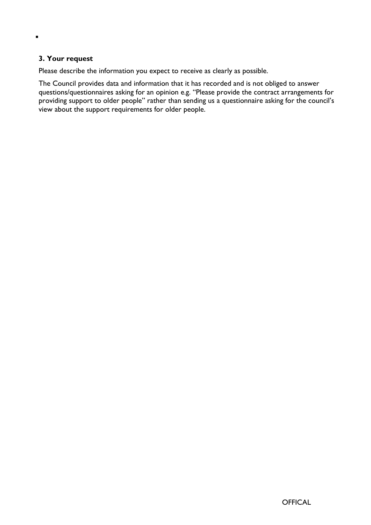## **3. Your request**

 $\blacksquare$ 

Please describe the information you expect to receive as clearly as possible.

The Council provides data and information that it has recorded and is not obliged to answer questions/questionnaires asking for an opinion e.g. "Please provide the contract arrangements for providing support to older people" rather than sending us a questionnaire asking for the council's view about the support requirements for older people.